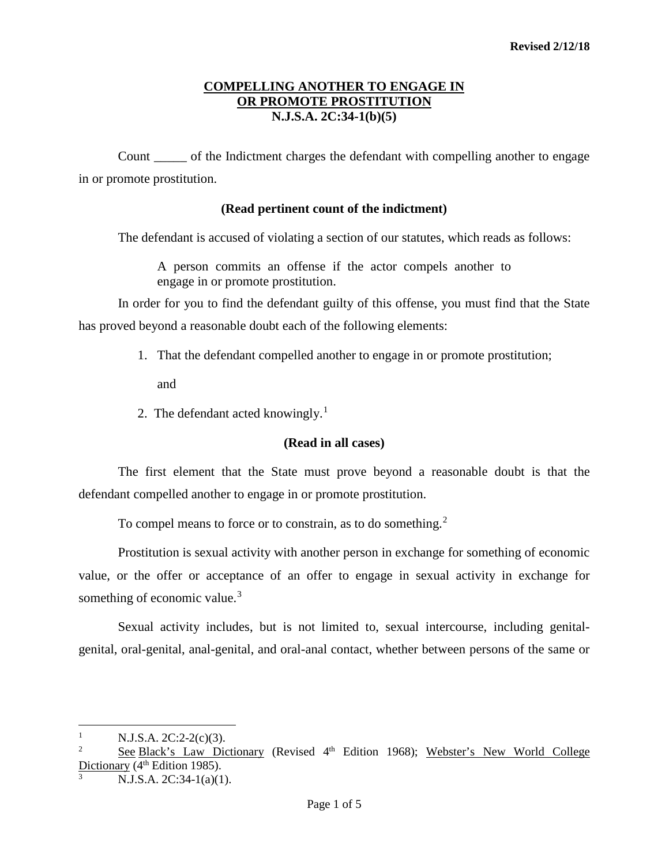Count \_\_\_\_\_ of the Indictment charges the defendant with compelling another to engage in or promote prostitution.

### **(Read pertinent count of the indictment)**

The defendant is accused of violating a section of our statutes, which reads as follows:

A person commits an offense if the actor compels another to engage in or promote prostitution.

In order for you to find the defendant guilty of this offense, you must find that the State has proved beyond a reasonable doubt each of the following elements:

1. That the defendant compelled another to engage in or promote prostitution;

and

2. The defendant acted knowingly.<sup>[1](#page-0-0)</sup>

## **(Read in all cases)**

The first element that the State must prove beyond a reasonable doubt is that the defendant compelled another to engage in or promote prostitution.

To compel means to force or to constrain, as to do something.<sup>[2](#page-0-1)</sup>

Prostitution is sexual activity with another person in exchange for something of economic value, or the offer or acceptance of an offer to engage in sexual activity in exchange for something of economic value.<sup>[3](#page-0-2)</sup>

Sexual activity includes, but is not limited to, sexual intercourse, including genitalgenital, oral-genital, anal-genital, and oral-anal contact, whether between persons of the same or

 $\overline{a}$ 

<span id="page-0-0"></span><sup>&</sup>lt;sup>1</sup> N.J.S.A. 2C:2-2(c)(3).<br><sup>2</sup> Soo Block's Law Dis

<span id="page-0-1"></span>See Black's Law Dictionary (Revised 4<sup>th</sup> Edition 1968); Webster's New World College Dictionary ( $4<sup>th</sup>$  Edition 1985).

<span id="page-0-2"></span>N.J.S.A. 2C:34-1(a)(1).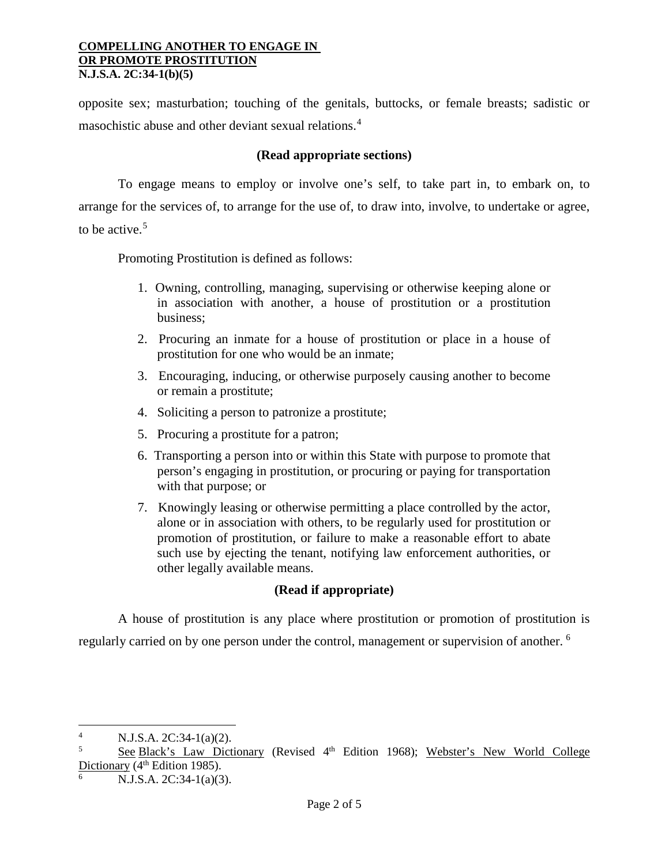opposite sex; masturbation; touching of the genitals, buttocks, or female breasts; sadistic or masochistic abuse and other deviant sexual relations.<sup>[4](#page-1-0)</sup>

# **(Read appropriate sections)**

To engage means to employ or involve one's self, to take part in, to embark on, to arrange for the services of, to arrange for the use of, to draw into, involve, to undertake or agree, to be active. $5$ 

Promoting Prostitution is defined as follows:

- 1. Owning, controlling, managing, supervising or otherwise keeping alone or in association with another, a house of prostitution or a prostitution business;
- 2. Procuring an inmate for a house of prostitution or place in a house of prostitution for one who would be an inmate;
- 3. Encouraging, inducing, or otherwise purposely causing another to become or remain a prostitute;
- 4. Soliciting a person to patronize a prostitute;
- 5. Procuring a prostitute for a patron;
- 6. Transporting a person into or within this State with purpose to promote that person's engaging in prostitution, or procuring or paying for transportation with that purpose; or
- 7. Knowingly leasing or otherwise permitting a place controlled by the actor, alone or in association with others, to be regularly used for prostitution or promotion of prostitution, or failure to make a reasonable effort to abate such use by ejecting the tenant, notifying law enforcement authorities, or other legally available means.

# **(Read if appropriate)**

A house of prostitution is any place where prostitution or promotion of prostitution is regularly carried on by one person under the control, management or supervision of another.<sup>[6](#page-1-2)</sup>

 $\overline{a}$ 

<span id="page-1-0"></span><sup>4</sup> N.J.S.A. 2C:34-1(a)(2).

<span id="page-1-1"></span>See Black's Law Dictionary (Revised 4<sup>th</sup> Edition 1968); Webster's New World College Dictionary ( $4<sup>th</sup>$  Edition 1985).

<span id="page-1-2"></span>N.J.S.A. 2C:34-1(a)(3).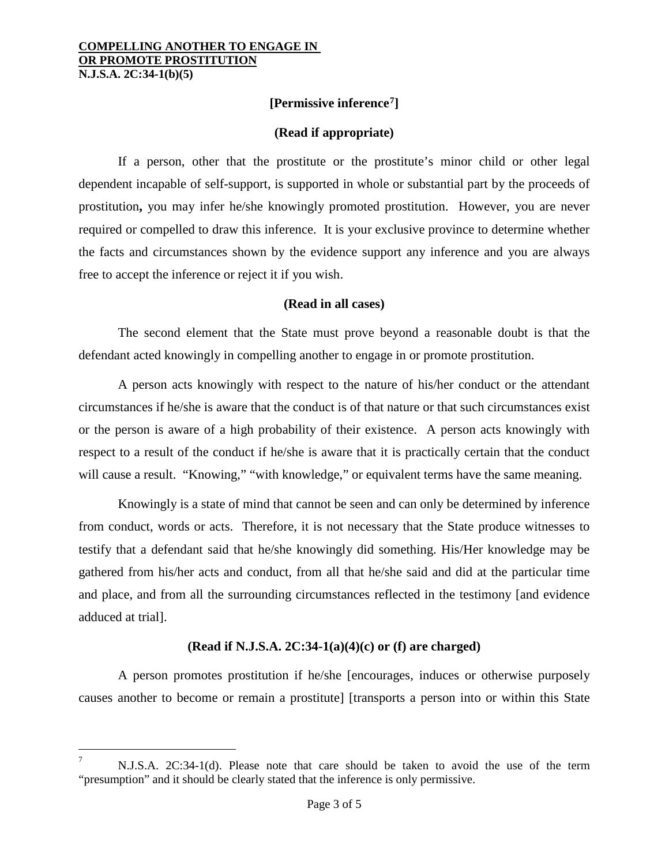l

**[Permissive inference[7](#page-2-0)]**

# **(Read if appropriate)**

If a person, other that the prostitute or the prostitute's minor child or other legal dependent incapable of self-support, is supported in whole or substantial part by the proceeds of prostitution**,** you may infer he/she knowingly promoted prostitution. However, you are never required or compelled to draw this inference. It is your exclusive province to determine whether the facts and circumstances shown by the evidence support any inference and you are always free to accept the inference or reject it if you wish.

### **(Read in all cases)**

The second element that the State must prove beyond a reasonable doubt is that the defendant acted knowingly in compelling another to engage in or promote prostitution.

A person acts knowingly with respect to the nature of his/her conduct or the attendant circumstances if he/she is aware that the conduct is of that nature or that such circumstances exist or the person is aware of a high probability of their existence. A person acts knowingly with respect to a result of the conduct if he/she is aware that it is practically certain that the conduct will cause a result. "Knowing," "with knowledge," or equivalent terms have the same meaning.

Knowingly is a state of mind that cannot be seen and can only be determined by inference from conduct, words or acts. Therefore, it is not necessary that the State produce witnesses to testify that a defendant said that he/she knowingly did something. His/Her knowledge may be gathered from his/her acts and conduct, from all that he/she said and did at the particular time and place, and from all the surrounding circumstances reflected in the testimony [and evidence adduced at trial].

## **(Read if N.J.S.A. 2C:34-1(a)(4)(c) or (f) are charged)**

A person promotes prostitution if he/she [encourages, induces or otherwise purposely causes another to become or remain a prostitute] [transports a person into or within this State

<span id="page-2-0"></span><sup>7</sup> N.J.S.A. 2C:34-1(d). Please note that care should be taken to avoid the use of the term "presumption" and it should be clearly stated that the inference is only permissive.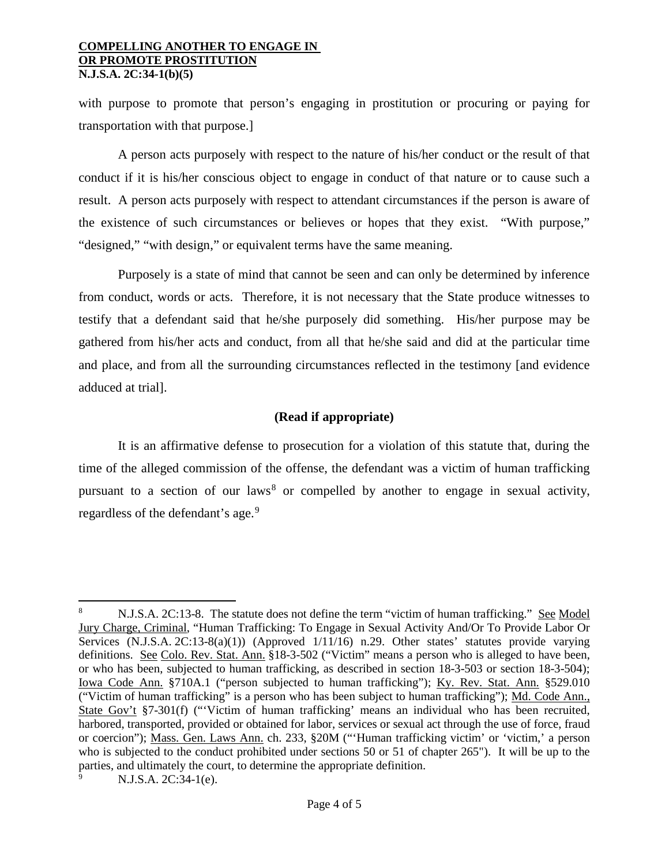with purpose to promote that person's engaging in prostitution or procuring or paying for transportation with that purpose.]

A person acts purposely with respect to the nature of his/her conduct or the result of that conduct if it is his/her conscious object to engage in conduct of that nature or to cause such a result. A person acts purposely with respect to attendant circumstances if the person is aware of the existence of such circumstances or believes or hopes that they exist. "With purpose," "designed," "with design," or equivalent terms have the same meaning.

Purposely is a state of mind that cannot be seen and can only be determined by inference from conduct, words or acts. Therefore, it is not necessary that the State produce witnesses to testify that a defendant said that he/she purposely did something. His/her purpose may be gathered from his/her acts and conduct, from all that he/she said and did at the particular time and place, and from all the surrounding circumstances reflected in the testimony [and evidence adduced at trial].

# **(Read if appropriate)**

It is an affirmative defense to prosecution for a violation of this statute that, during the time of the alleged commission of the offense, the defendant was a victim of human trafficking pursuant to a section of our laws<sup>[8](#page-3-0)</sup> or compelled by another to engage in sexual activity, regardless of the defendant's age.<sup>[9](#page-3-1)</sup>

 $\overline{\phantom{a}}$ 

<span id="page-3-0"></span><sup>8</sup> N.J.S.A. 2C:13-8. The statute does not define the term "victim of human trafficking." See Model Jury Charge, Criminal, "Human Trafficking: To Engage in Sexual Activity And/Or To Provide Labor Or Services (N.J.S.A. 2C:13-8(a)(1)) (Approved 1/11/16) n.29. Other states' statutes provide varying definitions. See Colo. Rev. Stat. Ann. §18-3-502 ("Victim" means a person who is alleged to have been, or who has been, subjected to human trafficking, as described in section 18-3-503 or section 18-3-504); Iowa Code Ann. §710A.1 ("person subjected to human trafficking"); Ky. Rev. Stat. Ann. §529.010 ("Victim of human trafficking" is a person who has been subject to human trafficking"); Md. Code Ann., State Gov't §7-301(f) ("'Victim of human trafficking' means an individual who has been recruited, harbored, transported, provided or obtained for labor, services or sexual act through the use of force, fraud or coercion"); Mass. Gen. Laws Ann. ch. 233, §20M ("'Human trafficking victim' or 'victim,' a person who is subjected to the conduct prohibited under sections 50 or 51 of chapter 265"). It will be up to the parties, and ultimately the court, to determine the appropriate definition.

<span id="page-3-1"></span><sup>9</sup> N.J.S.A. 2C:34-1(e).